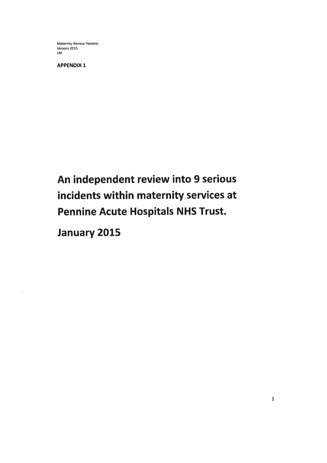Maternity Review Pennine January 2015  $\overline{LM}$ 

**APPENDIX 1** 

An independent review into 9 serious incidents within maternity services at **Pennine Acute Hospitals NHS Trust.** 

January 2015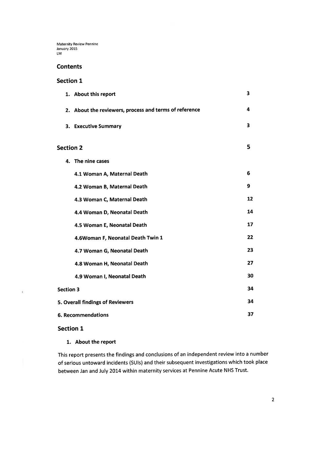### **Contents**

## **Section 1**

|                                  | 1. About this report                                   | 3  |
|----------------------------------|--------------------------------------------------------|----|
|                                  | 2. About the reviewers, process and terms of reference | 4  |
|                                  | 3. Executive Summary                                   | 3  |
| <b>Section 2</b>                 |                                                        | 5  |
|                                  | 4. The nine cases                                      |    |
|                                  | 4.1 Woman A, Maternal Death                            | 6  |
|                                  | 4.2 Woman B, Maternal Death                            | 9  |
|                                  | 4.3 Woman C, Maternal Death                            | 12 |
|                                  | 4.4 Woman D, Neonatal Death                            | 14 |
|                                  | 4.5 Woman E, Neonatal Death                            | 17 |
|                                  | 4.6Woman F, Neonatal Death Twin 1                      | 22 |
|                                  | 4.7 Woman G, Neonatal Death                            | 23 |
|                                  | 4.8 Woman H, Neonatal Death                            | 27 |
|                                  | 4.9 Woman I, Neonatal Death                            | 30 |
| <b>Section 3</b>                 |                                                        | 34 |
| 5. Overall findings of Reviewers |                                                        | 34 |
| <b>6. Recommendations</b>        |                                                        | 37 |

**Section 1** 

 $\tilde{\epsilon}$ 

1. About the report

This report presents the findings and conclusions of an independent review into a number of serious untoward incidents (SUIs) and their subsequent investigations which took place between Jan and July 2014 within maternity services at Pennine Acute NHS Trust.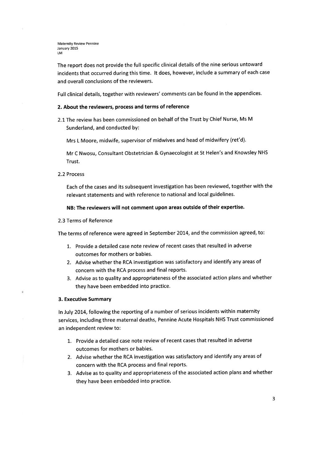The report does not provide the full specific clinical details of the nine serious untoward incidents that occurred during this time. It does, however, include a summary of each case and overall conclusions of the reviewers.

Full clinical details, together with reviewers' comments can be found in the appendices.

## 2. About the reviewers, process and terms of reference

2.1 The review has been commissioned on behalf of the Trust by Chief Nurse, Ms M Sunderland, and conducted by:

Mrs L Moore, midwife, supervisor of midwives and head of midwifery (ret'd).

Mr C Nwosu, Consultant Obstetrician & Gynaecologist at St Helen's and Knowsley NHS Trust.

2.2 Process

Each of the cases and its subsequent investigation has been reviewed, together with the relevant statements and with reference to national and local guidelines.

NB: The reviewers will not comment upon areas outside of their expertise.

2.3 Terms of Reference

The terms of reference were agreed in September 2014, and the commission agreed, to:

- 1. Provide a detailed case note review of recent cases that resulted in adverse outcomes for mothers or babies.
- 2. Advise whether the RCA investigation was satisfactory and identify any areas of concern with the RCA process and final reports.
- 3. Advise as to quality and appropriateness of the associated action plans and whether they have been embedded into practice.

#### 3. Executive Summary

t.

In July 2014, following the reporting of a number of serious incidents within maternity services, including three maternal deaths, Pennine Acute Hospitals NHS Trust commissioned an independent review to:

- 1. Provide a detailed case note review of recent cases that resulted in adverse outcomes for mothers or babies.
- 2. Advise whether the RCA investigation was satisfactory and identify any areas of concern with the RCA process and final reports.
- 3. Advise as to quality and appropriateness of the associated action plans and whether they have been embedded into practice.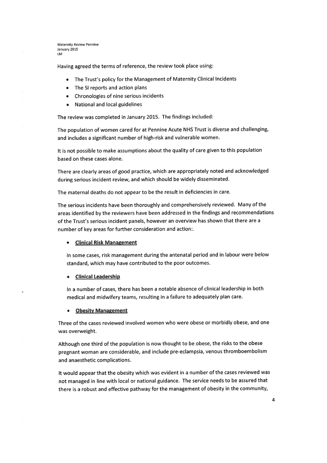Having agreed the terms of reference, the review took place using:

- The Trust's policy for the Management of Maternity Clinical Incidents
- The SI reports and action plans
- Chronologies of nine serious incidents
- National and local guidelines

The review was completed in January 2015. The findings included:

The population of women cared for at Pennine Acute NHS Trust is diverse and challenging, and includes a significant number of high-risk and vulnerable women.

It is not possible to make assumptions about the quality of care given to this population based on these cases alone.

There are clearly areas of good practice, which are appropriately noted and acknowledged during serious incident review, and which should be widely disseminated.

The maternal deaths do not appear to be the result in deficiencies in care.

The serious incidents have been thoroughly and comprehensively reviewed. Many of the areas identified by the reviewers have been addressed in the findings and recommendations of the Trust's serious incident panels, however an overview has shown that there are a number of key areas for further consideration and action:.

### • Clinical Risk Management

In some cases, risk management during the antenatal period and in labour were below standard, which may have contributed to the poor outcomes.

### **Clinical Leadership**

t

In a number of cases, there has been a notable absence of clinical leadership in both medical and midwifery teams, resulting in a failure to adequately plan care.

### **Obesity Management**

Three of the cases reviewed involved women who were obese or morbidly obese, and one was overweight.

Although one third of the population is now thought to be obese, the risks to the obese pregnant woman are considerable, and include pre-eclampsia, venous thromboembolism and anaesthetic complications.

It would appear that the obesity which was evident in a number of the cases reviewed was not managed in line with local or national guidance. The service needs to be assured that there is a robust and effective pathway for the management of obesity in the community,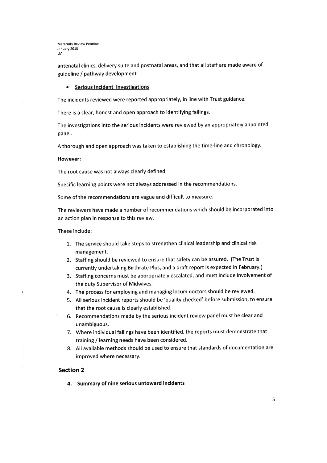antenatal clinics, delivery suite and postnatal areas, and that all staff are made aware of guideline / pathway development

### **Serious Incident investigations**

The incidents reviewed were reported appropriately, in line with Trust guidance.

There is a clear, honest and open approach to identifying failings.

The investigations into the serious incidents were reviewed by an appropriately appointed panel.

A thorough and open approach was taken to establishing the time-line and chronology.

### **However:**

The root cause was not always clearly defined.

Specific learning points were not always addressed in the recommendations.

Some of the recommendations are vague and difficult to measure.

The reviewers have made a number of recommendations which should be incorporated into an action plan in response to this review.

These include:

ł

- 1. The service should take steps to strengthen clinical leadership and clinical risk management.
- 2. Staffing should be reviewed to ensure that safety can be assured. (The Trust is currently undertaking Birthrate Plus, and a draft report is expected in February.)
- 3. Staffing concerns must be appropriately escalated, and must include involvement of the duty Supervisor of Midwives.
- 4. The process for employing and managing locum doctors should be reviewed.
- 5. All serious incident reports should be 'quality checked' before submission, to ensure that the root cause is clearly established.
- 6. Recommendations made by the serious incident review panel must be clear and unambiguous.
- 7. Where individual failings have been identified, the reports must demonstrate that training / learning needs have been considered.
- 8. All available methods should be used to ensure that standards of documentation are improved where necessary.

### **Section 2**

4. Summary of nine serious untoward incidents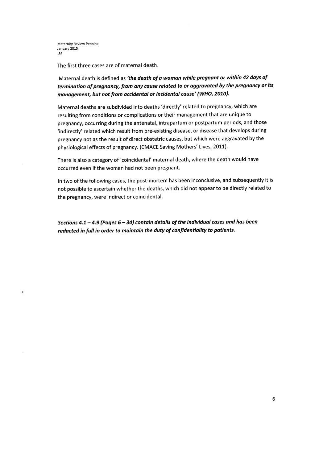ţ.

The first three cases are of maternal death.

# Maternal death is defined as 'the death of a woman while pregnant or within 42 days of termination of pregnancy, from any cause related to or aggravated by the pregnancy or its management, but not from accidental or incidental cause' (WHO, 2010).

Maternal deaths are subdivided into deaths 'directly' related to pregnancy, which are resulting from conditions or complications or their management that are unique to pregnancy, occurring during the antenatal, intrapartum or postpartum periods, and those 'indirectly' related which result from pre-existing disease, or disease that develops during pregnancy not as the result of direct obstetric causes, but which were aggravated by the physiological effects of pregnancy. (CMACE Saving Mothers' Lives, 2011).

There is also a category of 'coincidental' maternal death, where the death would have occurred even if the woman had not been pregnant.

In two of the following cases, the post-mortem has been inconclusive, and subsequently it is not possible to ascertain whether the deaths, which did not appear to be directly related to the pregnancy, were indirect or coincidental.

Sections 4.1 - 4.9 (Pages  $6 - 34$ ) contain details of the individual cases and has been redacted in full in order to maintain the duty of confidentiality to patients.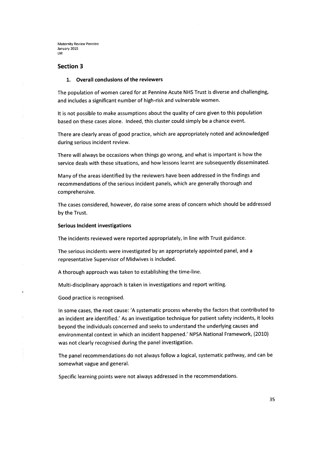### **Section 3**

### 1. Overall conclusions of the reviewers

The population of women cared for at Pennine Acute NHS Trust is diverse and challenging, and includes a significant number of high-risk and vulnerable women.

It is not possible to make assumptions about the quality of care given to this population based on these cases alone. Indeed, this cluster could simply be a chance event.

There are clearly areas of good practice, which are appropriately noted and acknowledged during serious incident review.

There will always be occasions when things go wrong, and what is important is how the service deals with these situations, and how lessons learnt are subsequently disseminated.

Many of the areas identified by the reviewers have been addressed in the findings and recommendations of the serious incident panels, which are generally thorough and comprehensive.

The cases considered, however, do raise some areas of concern which should be addressed by the Trust.

### **Serious Incident investigations**

The incidents reviewed were reported appropriately, in line with Trust guidance.

The serious incidents were investigated by an appropriately appointed panel, and a representative Supervisor of Midwives is included.

A thorough approach was taken to establishing the time-line.

Multi-disciplinary approach is taken in investigations and report writing.

Good practice is recognised.

ŧ

 $\bar{v}$ 

In some cases, the root cause: 'A systematic process whereby the factors that contributed to an incident are identified.' As an investigation technique for patient safety incidents, it looks beyond the individuals concerned and seeks to understand the underlying causes and environmental context in which an incident happened.' NPSA National Framework, (2010) was not clearly recognised during the panel investigation.

The panel recommendations do not always follow a logical, systematic pathway, and can be somewhat vague and general.

Specific learning points were not always addressed in the recommendations.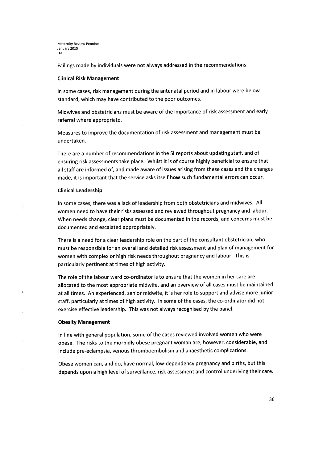Failings made by individuals were not always addressed in the recommendations.

#### **Clinical Risk Management**

In some cases, risk management during the antenatal period and in labour were below standard, which may have contributed to the poor outcomes.

Midwives and obstetricians must be aware of the importance of risk assessment and early referral where appropriate.

Measures to improve the documentation of risk assessment and management must be undertaken.

There are a number of recommendations in the SI reports about updating staff, and of ensuring risk assessments take place. Whilst it is of course highly beneficial to ensure that all staff are informed of, and made aware of issues arising from these cases and the changes made, it is important that the service asks itself how such fundamental errors can occur.

### **Clinical Leadership**

In some cases, there was a lack of leadership from both obstetricians and midwives. All women need to have their risks assessed and reviewed throughout pregnancy and labour. When needs change, clear plans must be documented in the records, and concerns must be documented and escalated appropriately.

There is a need for a clear leadership role on the part of the consultant obstetrician, who must be responsible for an overall and detailed risk assessment and plan of management for women with complex or high risk needs throughout pregnancy and labour. This is particularly pertinent at times of high activity.

The role of the labour ward co-ordinator is to ensure that the women in her care are allocated to the most appropriate midwife, and an overview of all cases must be maintained at all times. An experienced, senior midwife, it is her role to support and advise more junior staff, particularly at times of high activity. In some of the cases, the co-ordinator did not exercise effective leadership. This was not always recognised by the panel.

### **Obesity Management**

ť.

In line with general population, some of the cases reviewed involved women who were obese. The risks to the morbidly obese pregnant woman are, however, considerable, and include pre-eclampsia, venous thromboembolism and anaesthetic complications.

Obese women can, and do, have normal, low-dependency pregnancy and births, but this depends upon a high level of surveillance, risk assessment and control underlying their care.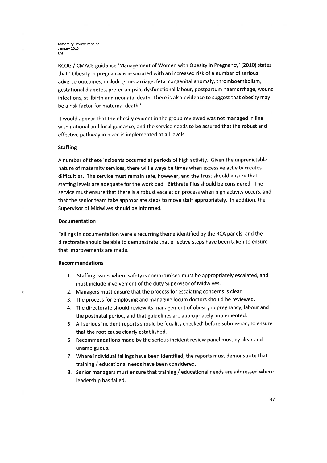RCOG / CMACE guidance 'Management of Women with Obesity in Pregnancy' (2010) states that:' Obesity in pregnancy is associated with an increased risk of a number of serious adverse outcomes, including miscarriage, fetal congenital anomaly, thromboembolism, gestational diabetes, pre-eclampsia, dysfunctional labour, postpartum haemorrhage, wound infections, stillbirth and neonatal death. There is also evidence to suggest that obesity may be a risk factor for maternal death.'

It would appear that the obesity evident in the group reviewed was not managed in line with national and local guidance, and the service needs to be assured that the robust and effective pathway in place is implemented at all levels.

### **Staffing**

A number of these incidents occurred at periods of high activity. Given the unpredictable nature of maternity services, there will always be times when excessive activity creates difficulties. The service must remain safe, however, and the Trust should ensure that staffing levels are adequate for the workload. Birthrate Plus should be considered. The service must ensure that there is a robust escalation process when high activity occurs, and that the senior team take appropriate steps to move staff appropriately. In addition, the Supervisor of Midwives should be informed.

### **Documentation**

Failings in documentation were a recurring theme identified by the RCA panels, and the directorate should be able to demonstrate that effective steps have been taken to ensure that improvements are made.

### **Recommendations**

ż

- 1. Staffing issues where safety is compromised must be appropriately escalated, and must include involvement of the duty Supervisor of Midwives.
- 2. Managers must ensure that the process for escalating concerns is clear.
- 3. The process for employing and managing locum doctors should be reviewed.
- 4. The directorate should review its management of obesity in pregnancy, labour and the postnatal period, and that guidelines are appropriately implemented.
- 5. All serious incident reports should be 'quality checked' before submission, to ensure that the root cause clearly established.
- 6. Recommendations made by the serious incident review panel must by clear and unambiguous.
- 7. Where individual failings have been identified, the reports must demonstrate that training / educational needs have been considered.
- 8. Senior managers must ensure that training / educational needs are addressed where leadership has failed.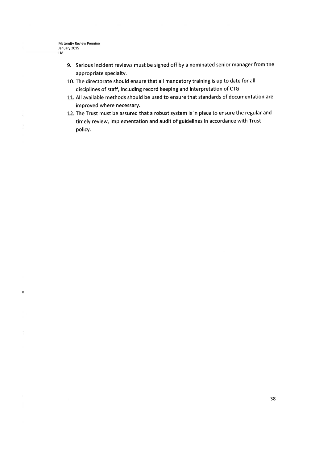$\equiv$ 

- 9. Serious incident reviews must be signed off by a nominated senior manager from the appropriate specialty.
- 10. The directorate should ensure that all mandatory training is up to date for all disciplines of staff, including record keeping and interpretation of CTG.
- 11. All available methods should be used to ensure that standards of documentation are improved where necessary.
- 12. The Trust must be assured that a robust system is in place to ensure the regular and timely review, implementation and audit of guidelines in accordance with Trust policy.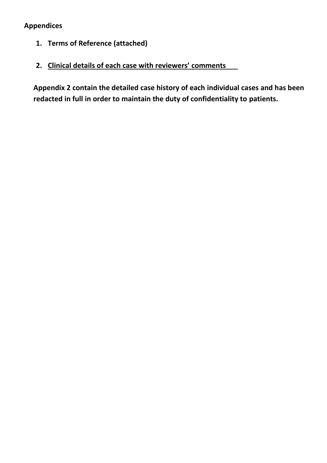# **Appendices**

- **1. Terms of Reference (attached)**
- **2. Clinical details of each case with reviewers' comments**

**Appendix 2 contain the detailed case history of each individual cases and has been redacted in full in order to maintain the duty of confidentiality to patients.**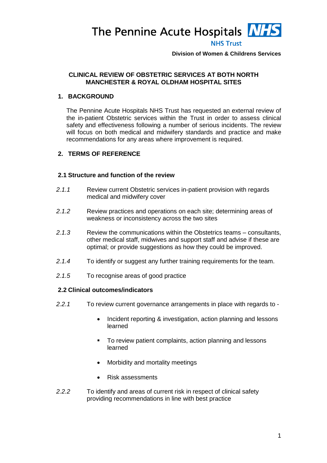The Pennine Acute Hospitals **NHS** 



**Division of Women & Childrens Services**

## **CLINICAL REVIEW OF OBSTETRIC SERVICES AT BOTH NORTH MANCHESTER & ROYAL OLDHAM HOSPITAL SITES**

## **1. BACKGROUND**

The Pennine Acute Hospitals NHS Trust has requested an external review of the in-patient Obstetric services within the Trust in order to assess clinical safety and effectiveness following a number of serious incidents. The review will focus on both medical and midwifery standards and practice and make recommendations for any areas where improvement is required.

# **2. TERMS OF REFERENCE**

## **2.1 Structure and function of the review**

- *2.1.1* Review current Obstetric services in-patient provision with regards medical and midwifery cover
- *2.1.2* Review practices and operations on each site; determining areas of weakness or inconsistency across the two sites
- *2.1.3* Review the communications within the Obstetrics teams consultants, other medical staff, midwives and support staff and advise if these are optimal; or provide suggestions as how they could be improved.
- *2.1.4* To identify or suggest any further training requirements for the team.
- *2.1.5* To recognise areas of good practice

## **2.2 Clinical outcomes/indicators**

- *2.2.1* To review current governance arrangements in place with regards to
	- Incident reporting & investigation, action planning and lessons learned
	- To review patient complaints, action planning and lessons learned
	- Morbidity and mortality meetings
	- Risk assessments
- *2.2.2* To identify and areas of current risk in respect of clinical safety providing recommendations in line with best practice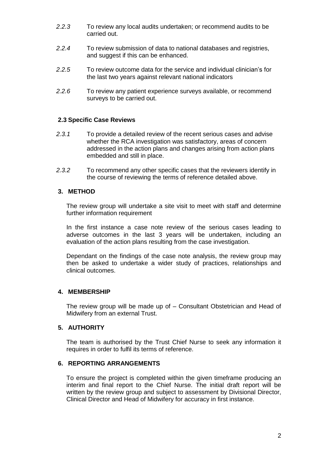- *2.2.3* To review any local audits undertaken; or recommend audits to be carried out.
- *2.2.4* To review submission of data to national databases and registries, and suggest if this can be enhanced.
- *2.2.5* To review outcome data for the service and individual clinician's for the last two years against relevant national indicators
- *2.2.6* To review any patient experience surveys available, or recommend surveys to be carried out.

## **2.3 Specific Case Reviews**

- *2.3.1* To provide a detailed review of the recent serious cases and advise whether the RCA investigation was satisfactory, areas of concern addressed in the action plans and changes arising from action plans embedded and still in place.
- *2.3.2* To recommend any other specific cases that the reviewers identify in the course of reviewing the terms of reference detailed above.

# **3. METHOD**

The review group will undertake a site visit to meet with staff and determine further information requirement

In the first instance a case note review of the serious cases leading to adverse outcomes in the last 3 years will be undertaken, including an evaluation of the action plans resulting from the case investigation.

Dependant on the findings of the case note analysis, the review group may then be asked to undertake a wider study of practices, relationships and clinical outcomes.

## **4. MEMBERSHIP**

The review group will be made up of – Consultant Obstetrician and Head of Midwifery from an external Trust.

## **5. AUTHORITY**

The team is authorised by the Trust Chief Nurse to seek any information it requires in order to fulfil its terms of reference.

## **6. REPORTING ARRANGEMENTS**

To ensure the project is completed within the given timeframe producing an interim and final report to the Chief Nurse. The initial draft report will be written by the review group and subject to assessment by Divisional Director, Clinical Director and Head of Midwifery for accuracy in first instance.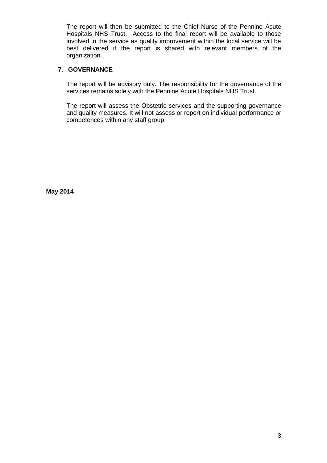The report will then be submitted to the Chief Nurse of the Pennine Acute Hospitals NHS Trust. Access to the final report will be available to those involved in the service as quality improvement within the local service will be best delivered if the report is shared with relevant members of the organization.

# **7. GOVERNANCE**

The report will be advisory only. The responsibility for the governance of the services remains solely with the Pennine Acute Hospitals NHS Trust.

The report will assess the Obstetric services and the supporting governance and quality measures. It will not assess or report on individual performance or competences within any staff group.

**May 2014**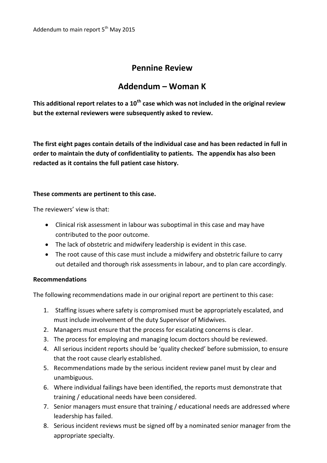# **Pennine Review**

# **Addendum – Woman K**

**This additional report relates to a 10th case which was not included in the original review but the external reviewers were subsequently asked to review.**

**The first eight pages contain details of the individual case and has been redacted in full in order to maintain the duty of confidentiality to patients. The appendix has also been redacted as it contains the full patient case history.**

# **These comments are pertinent to this case.**

The reviewers' view is that:

- Clinical risk assessment in labour was suboptimal in this case and may have contributed to the poor outcome.
- The lack of obstetric and midwifery leadership is evident in this case.
- The root cause of this case must include a midwifery and obstetric failure to carry out detailed and thorough risk assessments in labour, and to plan care accordingly.

# **Recommendations**

The following recommendations made in our original report are pertinent to this case:

- 1. Staffing issues where safety is compromised must be appropriately escalated, and must include involvement of the duty Supervisor of Midwives.
- 2. Managers must ensure that the process for escalating concerns is clear.
- 3. The process for employing and managing locum doctors should be reviewed.
- 4. All serious incident reports should be 'quality checked' before submission, to ensure that the root cause clearly established.
- 5. Recommendations made by the serious incident review panel must by clear and unambiguous.
- 6. Where individual failings have been identified, the reports must demonstrate that training / educational needs have been considered.
- 7. Senior managers must ensure that training / educational needs are addressed where leadership has failed.
- 8. Serious incident reviews must be signed off by a nominated senior manager from the appropriate specialty.